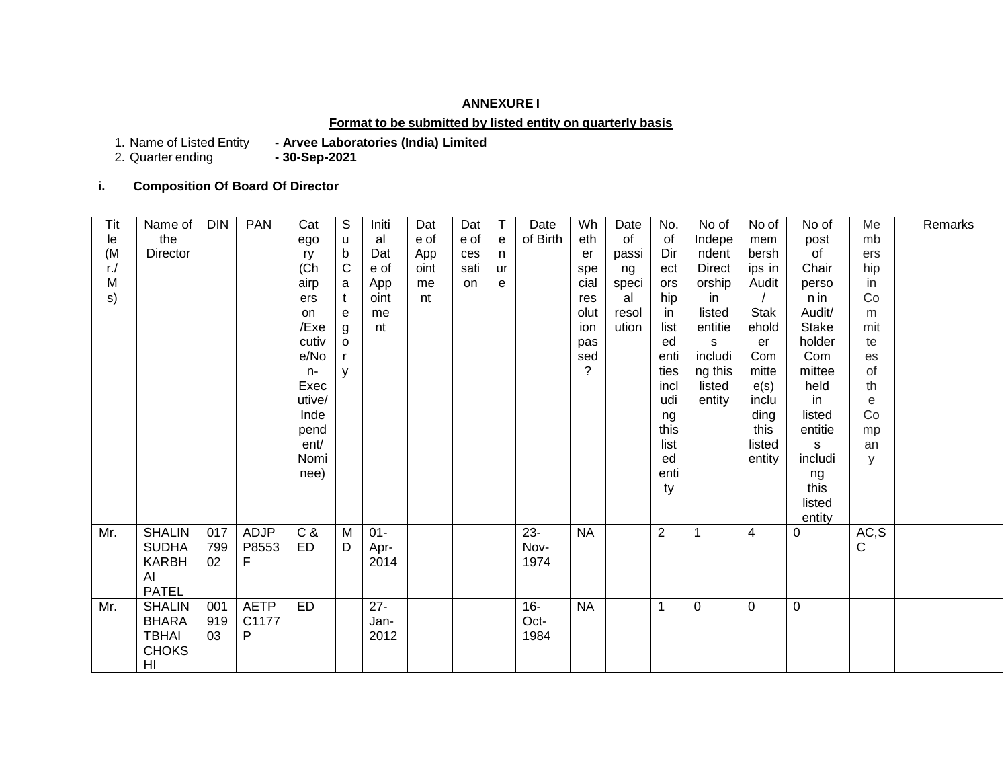# **ANNEXURE I**

#### **Format to be submitted by listed entity on quarterly basis**

1. Name of Listed Entity<br>2. Quarter ending

- Arvee Laboratories (India) Limited<br>- 30-Sep-2021

## **i. Composition Of Board Of Director**

| Tit    | Name of       | <b>DIN</b> | <b>PAN</b>  | Cat       | S            | Initi  | Dat  | Dat       | T  | Date     | Wh          | Date  | No.            | No of         | No of          | No of        | Me    | Remarks |
|--------|---------------|------------|-------------|-----------|--------------|--------|------|-----------|----|----------|-------------|-------|----------------|---------------|----------------|--------------|-------|---------|
| le     | the           |            |             | ego       | u            | al     | e of | e of      | e  | of Birth | eth         | of    | 0f             | Indepe        | mem            | post         | mb    |         |
| (M)    | Director      |            |             | ry        | b            | Dat    | App  | ces       | n  |          | er          | passi | Dir            | ndent         | bersh          | of           | ers   |         |
| $r$ ./ |               |            |             | (Ch       | $\mathsf{C}$ | e of   | oint | sati      | ur |          | spe         | ng    | ect            | <b>Direct</b> | ips in         | Chair        | hip   |         |
| M      |               |            |             | airp      | a            | App    | me   | <b>on</b> | е  |          | cial        | speci | ors            | orship        | Audit          | perso        | in    |         |
| s)     |               |            |             | ers       | t            | oint   | nt   |           |    |          | res         | al    | hip            | in            |                | n in         | Co    |         |
|        |               |            |             | on        | e            | me     |      |           |    |          | olut        | resol | in             | listed        | <b>Stak</b>    | Audit/       | m     |         |
|        |               |            |             | /Exe      | g            | nt     |      |           |    |          | ion         | ution | list           | entitie       | ehold          | <b>Stake</b> | mit   |         |
|        |               |            |             | cutiv     | $\mathbf{o}$ |        |      |           |    |          | pas         |       | ed             | S             | er             | holder       | te    |         |
|        |               |            |             | e/No      | r.           |        |      |           |    |          | sed         |       | enti           | includi       | Com            | Com          | es    |         |
|        |               |            |             | $n-$      | y            |        |      |           |    |          | $\tilde{?}$ |       | ties           | ng this       | mitte          | mittee       | of    |         |
|        |               |            |             | Exec      |              |        |      |           |    |          |             |       | incl           | listed        | e(s)           | held         | th    |         |
|        |               |            |             | utive/    |              |        |      |           |    |          |             |       | udi            | entity        | inclu          | in           | e     |         |
|        |               |            |             | Inde      |              |        |      |           |    |          |             |       | ng             |               | ding           | listed       | Co    |         |
|        |               |            |             | pend      |              |        |      |           |    |          |             |       | this           |               | this           | entitie      | mp    |         |
|        |               |            |             | ent/      |              |        |      |           |    |          |             |       | list           |               | listed         | s            | an    |         |
|        |               |            |             | Nomi      |              |        |      |           |    |          |             |       | ed             |               | entity         | includi      | y     |         |
|        |               |            |             | nee)      |              |        |      |           |    |          |             |       | enti           |               |                | ng           |       |         |
|        |               |            |             |           |              |        |      |           |    |          |             |       | ty             |               |                | this         |       |         |
|        |               |            |             |           |              |        |      |           |    |          |             |       |                |               |                | listed       |       |         |
|        |               |            |             |           |              |        |      |           |    |          |             |       |                |               |                | entity       |       |         |
| Mr.    | <b>SHALIN</b> | 017        | ADJP        | C &       | M            | $01 -$ |      |           |    | $23 -$   | <b>NA</b>   |       | $\overline{2}$ | $\mathbf{1}$  | $\overline{4}$ | 0            | AC, S |         |
|        | <b>SUDHA</b>  | 799        | P8553       | <b>ED</b> | D            | Apr-   |      |           |    | Nov-     |             |       |                |               |                |              | C     |         |
|        | <b>KARBH</b>  | 02         | F           |           |              | 2014   |      |           |    | 1974     |             |       |                |               |                |              |       |         |
|        | Al            |            |             |           |              |        |      |           |    |          |             |       |                |               |                |              |       |         |
|        | <b>PATEL</b>  |            |             |           |              |        |      |           |    |          |             |       |                |               |                |              |       |         |
| Mr.    | <b>SHALIN</b> | 001        | <b>AETP</b> | <b>ED</b> |              | $27 -$ |      |           |    | $16-$    | <b>NA</b>   |       | $\mathbf 1$    | $\mathbf 0$   | $\pmb{0}$      | $\pmb{0}$    |       |         |
|        | <b>BHARA</b>  | 919        | C1177       |           |              | Jan-   |      |           |    | Oct-     |             |       |                |               |                |              |       |         |
|        | <b>TBHAI</b>  | 03         | P           |           |              | 2012   |      |           |    | 1984     |             |       |                |               |                |              |       |         |
|        | <b>CHOKS</b>  |            |             |           |              |        |      |           |    |          |             |       |                |               |                |              |       |         |
|        | HI            |            |             |           |              |        |      |           |    |          |             |       |                |               |                |              |       |         |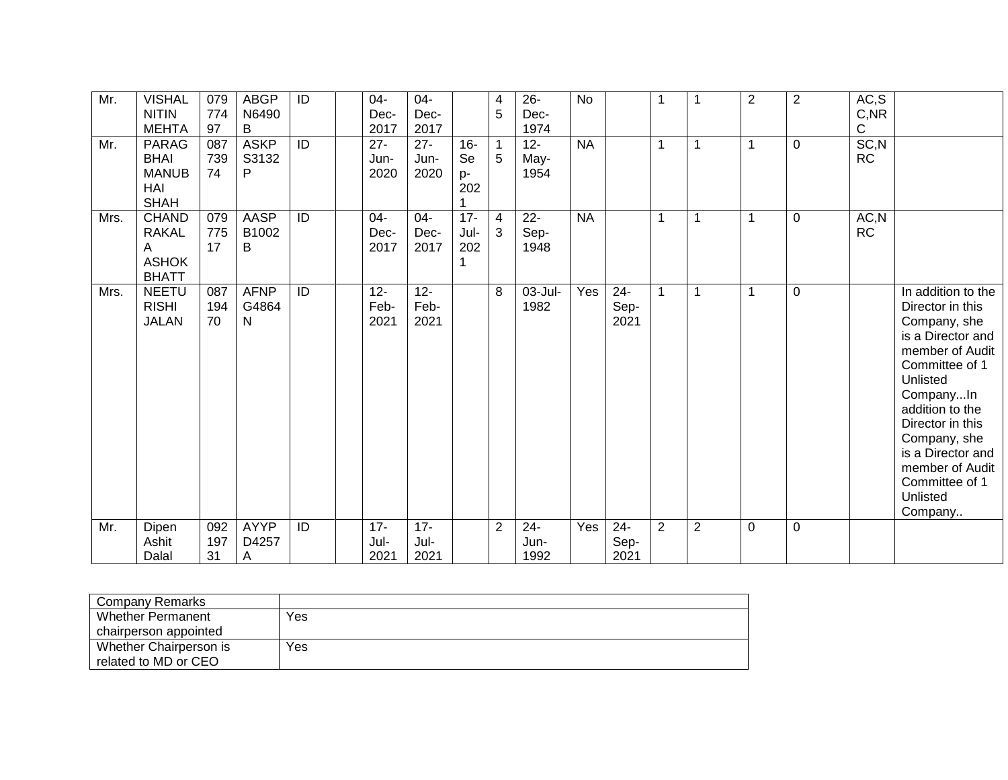| Mr.  | <b>VISHAL</b><br><b>NITIN</b>                                     | 079<br>774       | <b>ABGP</b><br>N6490      | $\overline{1}$  | $04-$<br>Dec-          | 04-<br>Dec-            |                           | $\overline{4}$<br>5 | $26 -$<br>Dec-         | <b>No</b> |                        | -1             | 1              | $\overline{c}$ | $\overline{2}$ | AC, S<br>$C,$ NR   |                                                                                                                                                                                                                                                                                   |
|------|-------------------------------------------------------------------|------------------|---------------------------|-----------------|------------------------|------------------------|---------------------------|---------------------|------------------------|-----------|------------------------|----------------|----------------|----------------|----------------|--------------------|-----------------------------------------------------------------------------------------------------------------------------------------------------------------------------------------------------------------------------------------------------------------------------------|
|      | <b>MEHTA</b>                                                      | 97               | B                         |                 | 2017                   | 2017                   |                           |                     | 1974                   |           |                        |                |                |                |                | $\mathsf C$        |                                                                                                                                                                                                                                                                                   |
| Mr.  | <b>PARAG</b><br><b>BHAI</b><br><b>MANUB</b><br>HAI<br><b>SHAH</b> | 087<br>739<br>74 | <b>ASKP</b><br>S3132<br>P | $\overline{1}$  | $27 -$<br>Jun-<br>2020 | $27 -$<br>Jun-<br>2020 | $16 -$<br>Se<br>p-<br>202 | -1<br>5             | $12 -$<br>May-<br>1954 | <b>NA</b> |                        | -1             |                | 1              | 0              | SC, N<br><b>RC</b> |                                                                                                                                                                                                                                                                                   |
| Mrs. | <b>CHAND</b><br><b>RAKAL</b><br>Α<br><b>ASHOK</b><br><b>BHATT</b> | 079<br>775<br>17 | <b>AASP</b><br>B1002<br>В | $\overline{ID}$ | $04-$<br>Dec-<br>2017  | 04-<br>Dec-<br>2017    | $17 -$<br>Jul-<br>202     | $\overline{4}$<br>3 | $22 -$<br>Sep-<br>1948 | <b>NA</b> |                        | $\overline{1}$ |                | 1              | 0              | AC, N<br><b>RC</b> |                                                                                                                                                                                                                                                                                   |
| Mrs. | <b>NEETU</b><br><b>RISHI</b><br><b>JALAN</b>                      | 087<br>194<br>70 | <b>AFNP</b><br>G4864<br>N | ID              | $12 -$<br>Feb-<br>2021 | $12 -$<br>Feb-<br>2021 |                           | 8                   | 03-Jul-<br>1982        | Yes       | $24 -$<br>Sep-<br>2021 | $\overline{1}$ |                | 1              | $\mathbf 0$    |                    | In addition to the<br>Director in this<br>Company, she<br>is a Director and<br>member of Audit<br>Committee of 1<br>Unlisted<br>CompanyIn<br>addition to the<br>Director in this<br>Company, she<br>is a Director and<br>member of Audit<br>Committee of 1<br>Unlisted<br>Company |
| Mr.  | Dipen<br>Ashit<br>Dalal                                           | 092<br>197<br>31 | <b>AYYP</b><br>D4257<br>A | $\overline{ID}$ | $17 -$<br>Jul-<br>2021 | $17 -$<br>Jul-<br>2021 |                           | $\overline{2}$      | $24 -$<br>Jun-<br>1992 | Yes       | $24 -$<br>Sep-<br>2021 | $\overline{2}$ | $\overline{2}$ | 0              | $\mathbf 0$    |                    |                                                                                                                                                                                                                                                                                   |

| Company Remarks          |     |
|--------------------------|-----|
| <b>Whether Permanent</b> | Yes |
| chairperson appointed    |     |
| Whether Chairperson is   | Yes |
| related to MD or CEO     |     |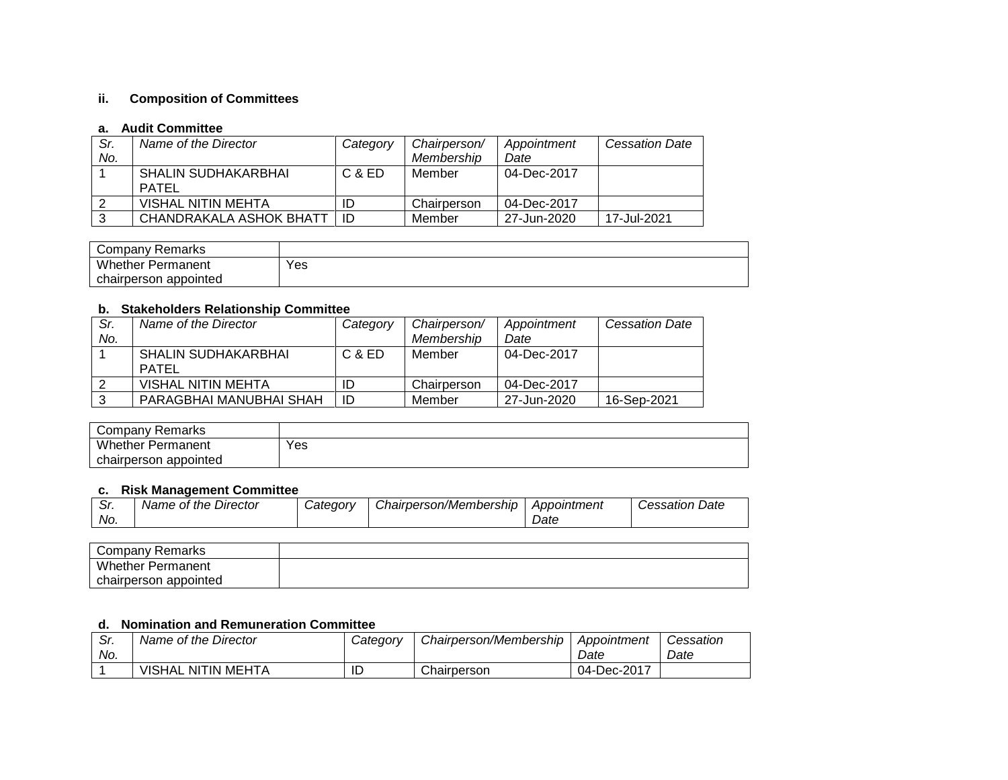# **ii. Composition of Committees**

#### **a. Audit Committee**

| Sr.<br>No. | Name of the Director                       | Category | Chairperson/<br>Membership | Appointment<br>Date | <b>Cessation Date</b> |
|------------|--------------------------------------------|----------|----------------------------|---------------------|-----------------------|
|            | <b>SHALIN SUDHAKARBHAI</b><br><b>PATFI</b> | $C$ & ED | Member                     | 04-Dec-2017         |                       |
|            | VISHAL NITIN MEHTA                         | ID       | Chairperson                | 04-Dec-2017         |                       |
|            | CHANDRAKALA ASHOK BHATT                    | ID       | Member                     | 27-Jun-2020         | 17-Jul-2021           |

| Company Remarks          |     |
|--------------------------|-----|
| <b>Whether Permanent</b> | Yes |
| appointed<br>chairperson |     |

## **b. Stakeholders Relationship Committee**

| Sr.<br>No. | Name of the Director                | Category | Chairperson/<br>Membership | Appointment<br>Date | <b>Cessation Date</b> |
|------------|-------------------------------------|----------|----------------------------|---------------------|-----------------------|
|            | <b>SHALIN SUDHAKARBHAI</b><br>PATEL | C & ED   | Member                     | 04-Dec-2017         |                       |
|            | VISHAL NITIN MEHTA                  |          | Chairperson                | 04-Dec-2017         |                       |
|            | PARAGBHAI MANUBHAI SHAH             | ID       | Member                     | 27-Jun-2020         | 16-Sep-2021           |

| Company Remarks          |     |
|--------------------------|-----|
| <b>Whether Permanent</b> | Yes |
| chairperson appointed    |     |

#### **c. Risk Management Committee**

| Sr. | Name of the Director | Category | Chairperson/Membership | Appointment | <b>Cessation Date</b> |
|-----|----------------------|----------|------------------------|-------------|-----------------------|
| No. |                      |          |                        | Date        |                       |

| Company Remarks          |  |
|--------------------------|--|
| <b>Whether Permanent</b> |  |
| chairperson appointed    |  |

#### **d. Nomination and Remuneration Committee**

| Sr.<br>No. | Name of the Director      | Category | Chairperson/Membership | Appointment<br>Date | Cessation<br>Date |
|------------|---------------------------|----------|------------------------|---------------------|-------------------|
|            | <b>VISHAL NITIN MEHTA</b> | ID       | Chairperson            | 04-Dec-2017         |                   |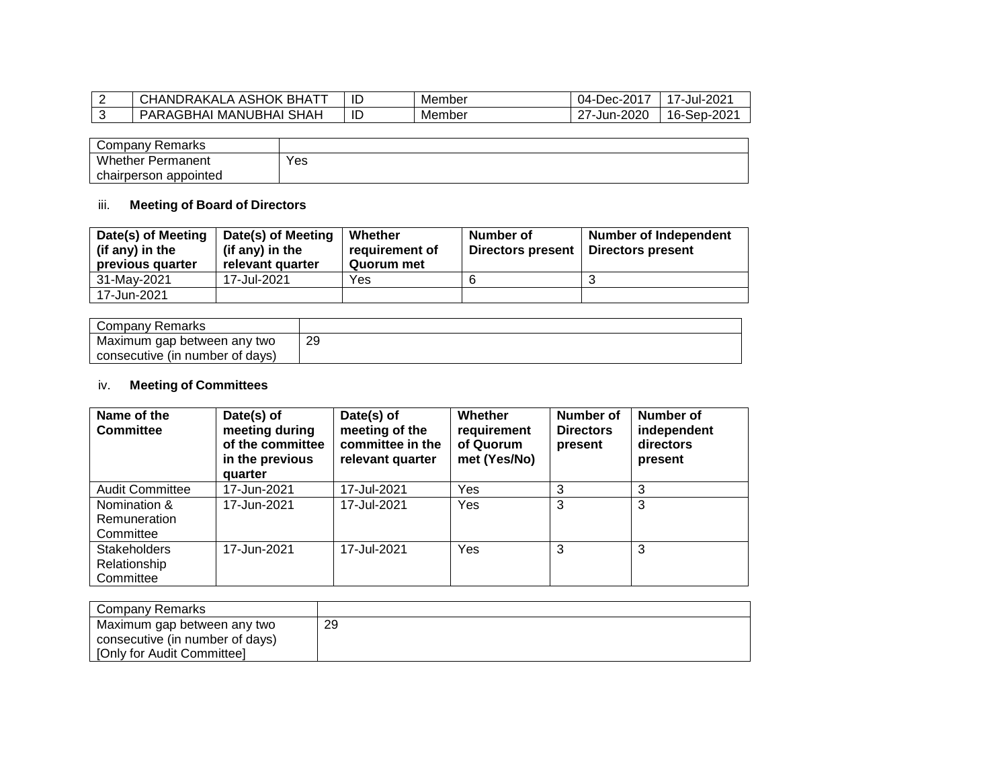| <b>ASHOK</b><br><b>BHATT</b><br>JHANDRAKALA ^ | שו | Member | $Dec-2017$<br>04- | $-202$<br>$\overline{\phantom{a}}$<br>Jul∹ |
|-----------------------------------------------|----|--------|-------------------|--------------------------------------------|
| , MANUBHAI SHAH<br>PARAGBHAL                  | ID | Member | $-2020$<br>Jur    | 16-Sep-2021                                |

| Company Remarks          |     |
|--------------------------|-----|
| <b>Whether Permanent</b> | Yes |
| chairperson appointed    |     |

## iii. **Meeting of Board of Directors**

| Date(s) of Meeting<br>(if any) in the<br>previous quarter | Date(s) of Meeting<br>(if any) in the<br>relevant quarter | Whether<br>requirement of<br>Quorum met | Number of<br>Directors present | <b>Number of Independent</b><br>Directors present |
|-----------------------------------------------------------|-----------------------------------------------------------|-----------------------------------------|--------------------------------|---------------------------------------------------|
| 31-Mav-2021                                               | 17-Jul-2021                                               | Yes                                     |                                |                                                   |
| 17-Jun-2021                                               |                                                           |                                         |                                |                                                   |

| Company Remarks                 |    |
|---------------------------------|----|
| Maximum gap between any two     | 29 |
| consecutive (in number of days) |    |

## iv. **Meeting of Committees**

| Name of the<br><b>Committee</b>                  | Date(s) of<br>meeting during<br>of the committee<br>in the previous<br>quarter | Date(s) of<br>meeting of the<br>committee in the<br>relevant quarter | Whether<br>requirement<br>of Quorum<br>met (Yes/No) | Number of<br><b>Directors</b><br>present | <b>Number of</b><br>independent<br>directors<br>present |
|--------------------------------------------------|--------------------------------------------------------------------------------|----------------------------------------------------------------------|-----------------------------------------------------|------------------------------------------|---------------------------------------------------------|
| <b>Audit Committee</b>                           | 17-Jun-2021                                                                    | 17-Jul-2021                                                          | Yes                                                 | 3                                        | 3                                                       |
| Nomination &<br>Remuneration<br>Committee        | 17-Jun-2021                                                                    | 17-Jul-2021                                                          | Yes                                                 | 3                                        | 3                                                       |
| <b>Stakeholders</b><br>Relationship<br>Committee | 17-Jun-2021                                                                    | 17-Jul-2021                                                          | Yes                                                 | 3                                        | 3                                                       |

| ' Company Remarks                                              |    |
|----------------------------------------------------------------|----|
| Maximum gap between any two<br>consecutive (in number of days) | 29 |
| [Only for Audit Committee]                                     |    |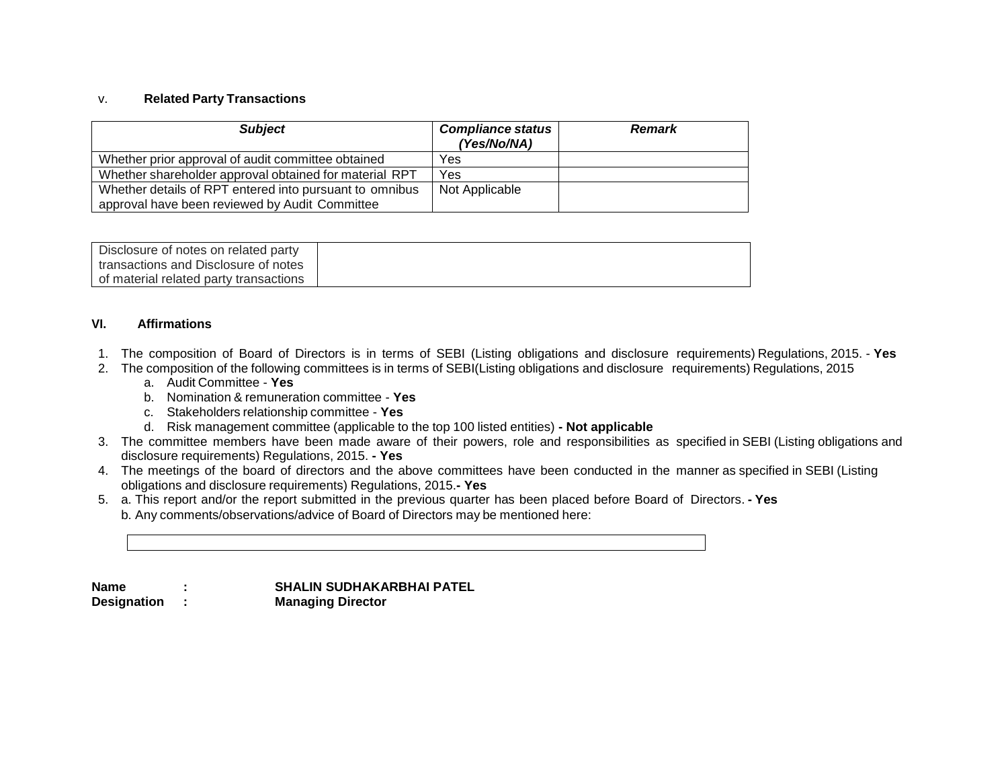#### v. **Related Party Transactions**

| <b>Subject</b>                                          | <b>Compliance status</b><br>(Yes/No/NA) | <b>Remark</b> |
|---------------------------------------------------------|-----------------------------------------|---------------|
| Whether prior approval of audit committee obtained      | Yes                                     |               |
| Whether shareholder approval obtained for material RPT  | Yes                                     |               |
| Whether details of RPT entered into pursuant to omnibus | Not Applicable                          |               |
| approval have been reviewed by Audit Committee          |                                         |               |

| Disclosure of notes on related party   |  |
|----------------------------------------|--|
| I transactions and Disclosure of notes |  |
| of material related party transactions |  |

#### **VI. Affirmations**

- 1. The composition of Board of Directors is in terms of SEBI (Listing obligations and disclosure requirements) Regulations, 2015. **Yes**
- 2. The composition of the following committees is in terms of SEBI(Listing obligations and disclosure requirements) Regulations, 2015
	- a. Audit Committee **Yes**
	- b. Nomination & remuneration committee **Yes**
	- c. Stakeholders relationship committee **Yes**
	- d. Risk management committee (applicable to the top 100 listed entities) **- Not applicable**
- 3. The committee members have been made aware of their powers, role and responsibilities as specified in SEBI (Listing obligations and disclosure requirements) Regulations, 2015. **- Yes**
- 4. The meetings of the board of directors and the above committees have been conducted in the manner as specified in SEBI (Listing obligations and disclosure requirements) Regulations, 2015.**- Yes**
- 5. a. This report and/or the report submitted in the previous quarter has been placed before Board of Directors. **- Yes** b. Any comments/observations/advice of Board of Directors may be mentioned here:

| Name               | <b>SHALIN SUDHAKARBHAI PATEL</b> |
|--------------------|----------------------------------|
| <b>Designation</b> | <b>Managing Director</b>         |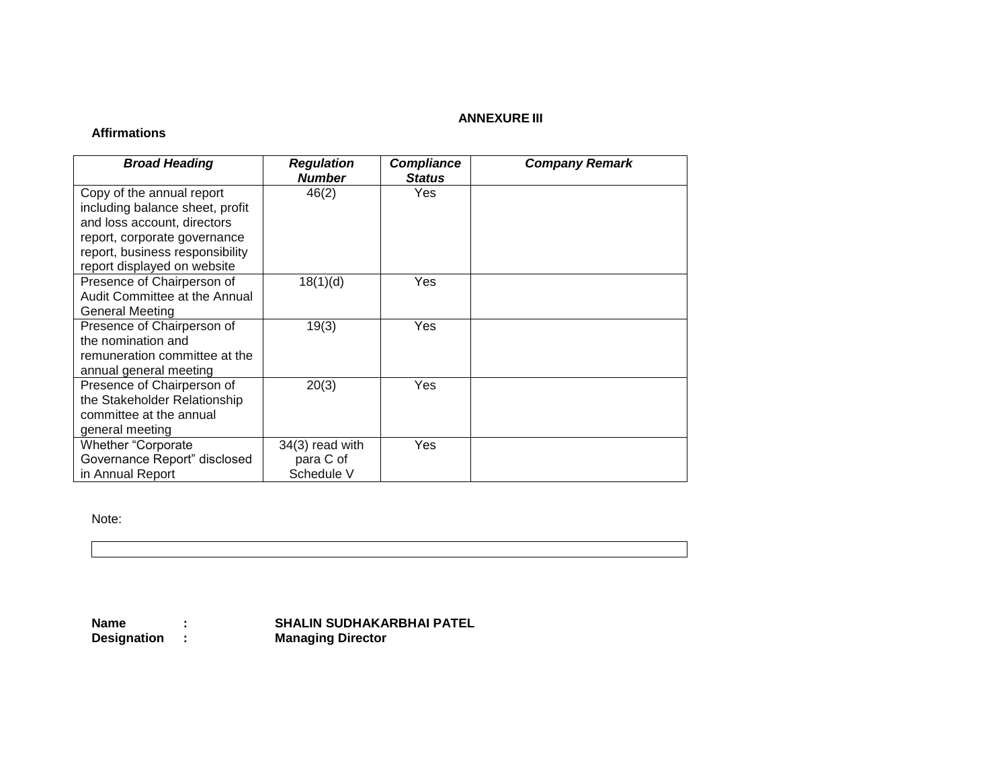## **ANNEXURE III**

## **Affirmations**

| <b>Broad Heading</b>                                                                                                                                                                          | <b>Regulation</b><br><b>Number</b>           | <b>Compliance</b><br><b>Status</b> | <b>Company Remark</b> |
|-----------------------------------------------------------------------------------------------------------------------------------------------------------------------------------------------|----------------------------------------------|------------------------------------|-----------------------|
| Copy of the annual report<br>including balance sheet, profit<br>and loss account, directors<br>report, corporate governance<br>report, business responsibility<br>report displayed on website | 46(2)                                        | Yes                                |                       |
| Presence of Chairperson of<br>Audit Committee at the Annual<br>General Meeting                                                                                                                | 18(1)(d)                                     | Yes                                |                       |
| Presence of Chairperson of<br>the nomination and<br>remuneration committee at the<br>annual general meeting                                                                                   | 19(3)                                        | Yes                                |                       |
| Presence of Chairperson of<br>the Stakeholder Relationship<br>committee at the annual<br>general meeting                                                                                      | 20(3)                                        | Yes                                |                       |
| <b>Whether "Corporate</b><br>Governance Report" disclosed<br>in Annual Report                                                                                                                 | $34(3)$ read with<br>para C of<br>Schedule V | Yes                                |                       |

Note:

**Name** : **SHALIN SUDHAKARBHAI PATEL<br>Designation : Managing Director** 

**Managing Director**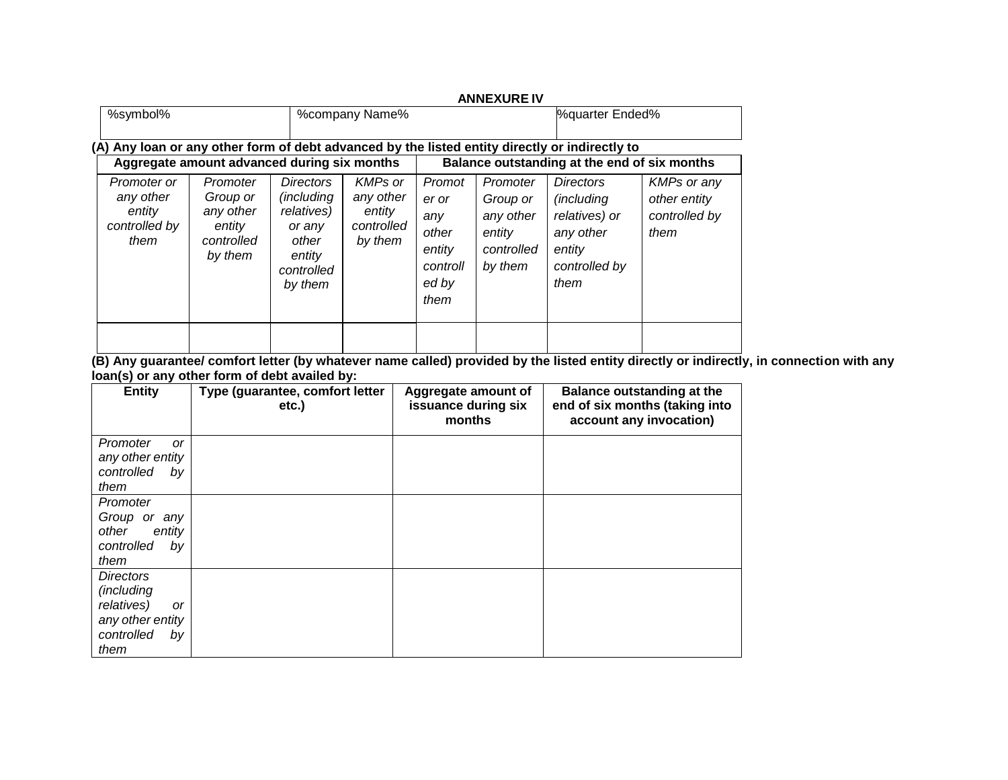|                                                             |                                                                      |                                                                                                            |                                                                |                                                                        | <b>ANNEXURE IV</b>                                                   |                                                                                                         |                                                             |
|-------------------------------------------------------------|----------------------------------------------------------------------|------------------------------------------------------------------------------------------------------------|----------------------------------------------------------------|------------------------------------------------------------------------|----------------------------------------------------------------------|---------------------------------------------------------------------------------------------------------|-------------------------------------------------------------|
| %symbol%                                                    |                                                                      |                                                                                                            | %company Name%                                                 |                                                                        |                                                                      | <b>%guarter Ended%</b>                                                                                  |                                                             |
|                                                             |                                                                      |                                                                                                            |                                                                |                                                                        |                                                                      | (A) Any loan or any other form of debt advanced by the listed entity directly or indirectly to          |                                                             |
|                                                             | Aggregate amount advanced during six months                          |                                                                                                            |                                                                |                                                                        |                                                                      | Balance outstanding at the end of six months                                                            |                                                             |
| Promoter or<br>any other<br>entity<br>controlled by<br>them | Promoter<br>Group or<br>any other<br>entity<br>controlled<br>by them | <b>Directors</b><br><i>(including)</i><br>relatives)<br>or any<br>other<br>entity<br>controlled<br>by them | <b>KMPs or</b><br>any other<br>entity<br>controlled<br>by them | Promot<br>er or<br>any<br>other<br>entity<br>controll<br>ed by<br>them | Promoter<br>Group or<br>any other<br>entity<br>controlled<br>by them | <b>Directors</b><br><i>(including)</i><br>relatives) or<br>any other<br>entity<br>controlled by<br>them | <b>KMPs or any</b><br>other entity<br>controlled by<br>them |
|                                                             |                                                                      |                                                                                                            |                                                                |                                                                        |                                                                      |                                                                                                         |                                                             |

**(B) Any guarantee/ comfort letter (by whatever name called) provided by the listed entity directly or indirectly, in connection with any loan(s) or any other form of debt availed by:**

| <b>Entity</b>                                                                                                    | Type (guarantee, comfort letter<br>etc.) | Aggregate amount of<br>issuance during six<br>months | Balance outstanding at the<br>end of six months (taking into<br>account any invocation) |
|------------------------------------------------------------------------------------------------------------------|------------------------------------------|------------------------------------------------------|-----------------------------------------------------------------------------------------|
| Promoter<br>or<br>any other entity<br>controlled<br>by<br>them                                                   |                                          |                                                      |                                                                                         |
| Promoter<br>Group or<br>any<br>other<br>entity<br>controlled<br>by<br>them                                       |                                          |                                                      |                                                                                         |
| <b>Directors</b><br><i>(including</i><br>relatives)<br><b>or</b><br>any other entity<br>controlled<br>by<br>them |                                          |                                                      |                                                                                         |

# **ANNEXURE IV**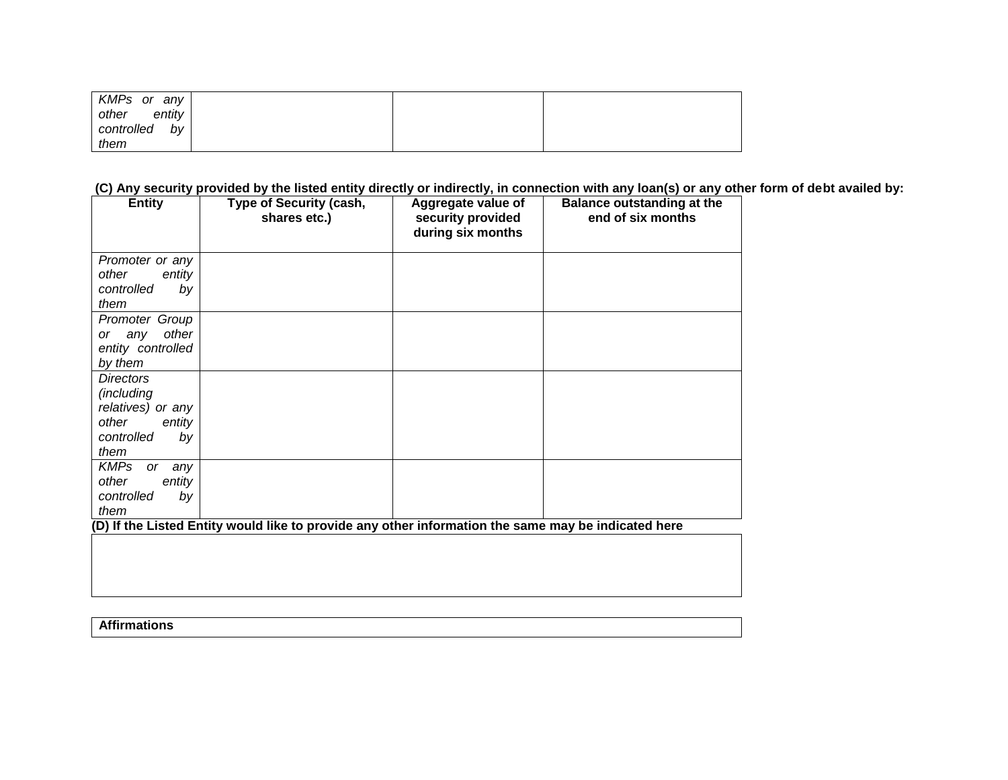| KMPs or<br>any   |  |  |
|------------------|--|--|
| other<br>entity  |  |  |
| controlled<br>by |  |  |
| them             |  |  |

**(C) Any security provided by the listed entity directly or indirectly, in connection with any loan(s) or any other form of debt availed by:**

| <b>Entity</b>                   | <b>Type of Security (cash,</b><br>shares etc.)                                                      | Aggregate value of<br>security provided<br>during six months | <b>Balance outstanding at the</b><br>end of six months |
|---------------------------------|-----------------------------------------------------------------------------------------------------|--------------------------------------------------------------|--------------------------------------------------------|
| Promoter or any                 |                                                                                                     |                                                              |                                                        |
| other<br>entity                 |                                                                                                     |                                                              |                                                        |
| controlled<br>by                |                                                                                                     |                                                              |                                                        |
| them                            |                                                                                                     |                                                              |                                                        |
| Promoter Group                  |                                                                                                     |                                                              |                                                        |
| other<br>or any                 |                                                                                                     |                                                              |                                                        |
| entity controlled               |                                                                                                     |                                                              |                                                        |
| by them                         |                                                                                                     |                                                              |                                                        |
| <b>Directors</b>                |                                                                                                     |                                                              |                                                        |
| (including                      |                                                                                                     |                                                              |                                                        |
| relatives) or any               |                                                                                                     |                                                              |                                                        |
| other<br>entity                 |                                                                                                     |                                                              |                                                        |
| controlled<br>by                |                                                                                                     |                                                              |                                                        |
| them                            |                                                                                                     |                                                              |                                                        |
| <b>KMPs</b><br><i>or</i><br>any |                                                                                                     |                                                              |                                                        |
| other<br>entity                 |                                                                                                     |                                                              |                                                        |
| controlled<br>by                |                                                                                                     |                                                              |                                                        |
| them                            |                                                                                                     |                                                              |                                                        |
|                                 | (D) If the Listed Entity would like to provide any other information the same may be indicated here |                                                              |                                                        |
|                                 |                                                                                                     |                                                              |                                                        |
|                                 |                                                                                                     |                                                              |                                                        |

**Affirmations**